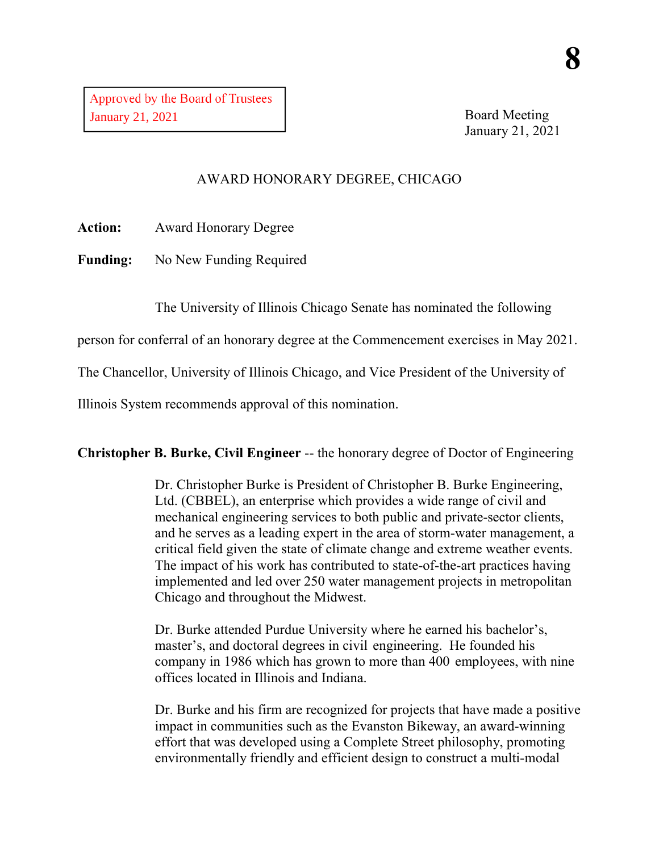Board Meeting January 21, 2021

## AWARD HONORARY DEGREE, CHICAGO

**Action:** Award Honorary Degree

**Funding:** No New Funding Required

The University of Illinois Chicago Senate has nominated the following

person for conferral of an honorary degree at the Commencement exercises in May 2021.

The Chancellor, University of Illinois Chicago, and Vice President of the University of

Illinois System recommends approval of this nomination.

**Christopher B. Burke, Civil Engineer** -- the honorary degree of Doctor of Engineering

Dr. Christopher Burke is President of Christopher B. Burke Engineering, Ltd. (CBBEL), an enterprise which provides a wide range of civil and mechanical engineering services to both public and private-sector clients, and he serves as a leading expert in the area of storm-water management, a critical field given the state of climate change and extreme weather events. The impact of his work has contributed to state-of-the-art practices having implemented and led over 250 water management projects in metropolitan Chicago and throughout the Midwest.

Dr. Burke attended Purdue University where he earned his bachelor's, master's, and doctoral degrees in civil engineering. He founded his company in 1986 which has grown to more than 400 employees, with nine offices located in Illinois and Indiana.

Dr. Burke and his firm are recognized for projects that have made a positive impact in communities such as the Evanston Bikeway, an award-winning effort that was developed using a Complete Street philosophy, promoting environmentally friendly and efficient design to construct a multi-modal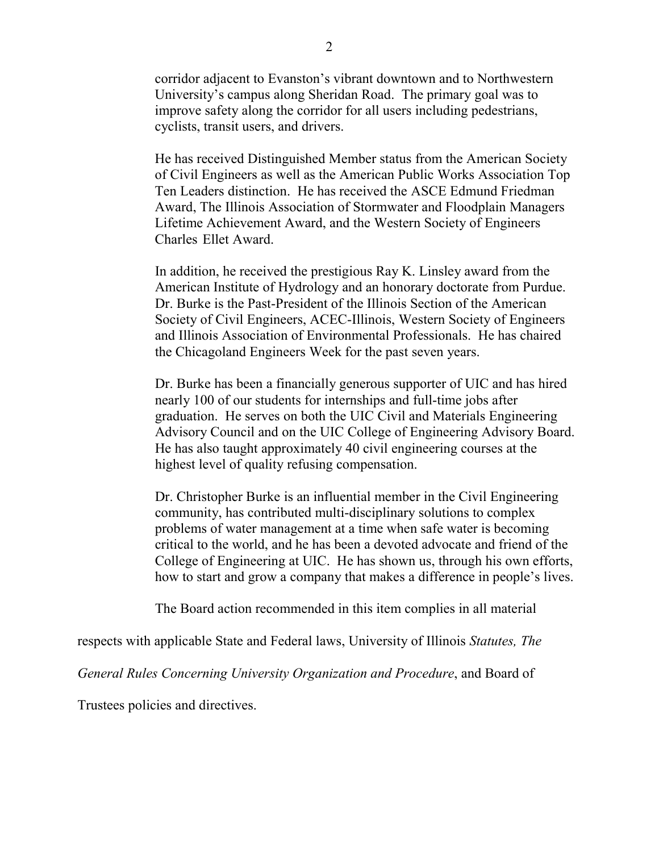corridor adjacent to Evanston's vibrant downtown and to Northwestern University's campus along Sheridan Road. The primary goal was to improve safety along the corridor for all users including pedestrians, cyclists, transit users, and drivers.

He has received Distinguished Member status from the American Society of Civil Engineers as well as the American Public Works Association Top Ten Leaders distinction. He has received the ASCE Edmund Friedman Award, The Illinois Association of Stormwater and Floodplain Managers Lifetime Achievement Award, and the Western Society of Engineers Charles Ellet Award.

In addition, he received the prestigious Ray K. Linsley award from the American Institute of Hydrology and an honorary doctorate from Purdue. Dr. Burke is the Past-President of the Illinois Section of the American Society of Civil Engineers, ACEC-Illinois, Western Society of Engineers and Illinois Association of Environmental Professionals. He has chaired the Chicagoland Engineers Week for the past seven years.

Dr. Burke has been a financially generous supporter of UIC and has hired nearly 100 of our students for internships and full-time jobs after graduation. He serves on both the UIC Civil and Materials Engineering Advisory Council and on the UIC College of Engineering Advisory Board. He has also taught approximately 40 civil engineering courses at the highest level of quality refusing compensation.

Dr. Christopher Burke is an influential member in the Civil Engineering community, has contributed multi-disciplinary solutions to complex problems of water management at a time when safe water is becoming critical to the world, and he has been a devoted advocate and friend of the College of Engineering at UIC. He has shown us, through his own efforts, how to start and grow a company that makes a difference in people's lives.

The Board action recommended in this item complies in all material

respects with applicable State and Federal laws, University of Illinois *Statutes, The* 

*General Rules Concerning University Organization and Procedure*, and Board of

Trustees policies and directives.